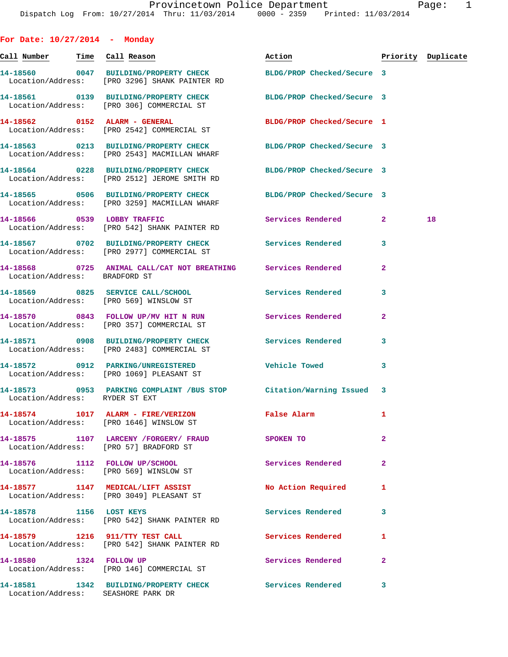**For Date: 10/27/2014 - Monday Call Number Time Call Reason Action Priority Duplicate 14-18560 0047 BUILDING/PROPERTY CHECK BLDG/PROP Checked/Secure 3**  Location/Address: [PRO 3296] SHANK PAINTER RD **14-18561 0139 BUILDING/PROPERTY CHECK BLDG/PROP Checked/Secure 3**  Location/Address: [PRO 306] COMMERCIAL ST **14-18562 0152 ALARM - GENERAL BLDG/PROP Checked/Secure 1**  Location/Address: [PRO 2542] COMMERCIAL ST **14-18563 0213 BUILDING/PROPERTY CHECK BLDG/PROP Checked/Secure 3**  Location/Address: [PRO 2543] MACMILLAN WHARF **14-18564 0228 BUILDING/PROPERTY CHECK BLDG/PROP Checked/Secure 3**  Location/Address: [PRO 2512] JEROME SMITH RD **14-18565 0506 BUILDING/PROPERTY CHECK BLDG/PROP Checked/Secure 3**  Location/Address: [PRO 3259] MACMILLAN WHARF **14-18566 0539 LOBBY TRAFFIC Services Rendered 2 18**  Location/Address: [PRO 542] SHANK PAINTER RD **14-18567 0702 BUILDING/PROPERTY CHECK Services Rendered 3**  Location/Address: [PRO 2977] COMMERCIAL ST **14-18568 0725 ANIMAL CALL/CAT NOT BREATHING Services Rendered 2**  Location/Address: BRADFORD ST **14-18569 0825 SERVICE CALL/SCHOOL Services Rendered 3**  Location/Address: [PRO 569] WINSLOW ST **14-18570 0843 FOLLOW UP/MV HIT N RUN Services Rendered 2**  Location/Address: [PRO 357] COMMERCIAL ST **14-18571 0908 BUILDING/PROPERTY CHECK Services Rendered 3**  Location/Address: [PRO 2483] COMMERCIAL ST **14-18572 0912 PARKING/UNREGISTERED Vehicle Towed 3**  Location/Address: [PRO 1069] PLEASANT ST **14-18573 0953 PARKING COMPLAINT /BUS STOP Citation/Warning Issued 3**  Location/Address: RYDER ST EXT **14-18574 1017 ALARM - FIRE/VERIZON False Alarm 1**  Location/Address: [PRO 1646] WINSLOW ST **14-18575 1107 LARCENY /FORGERY/ FRAUD SPOKEN TO 2**  Location/Address: [PRO 57] BRADFORD ST **14-18576 1112 FOLLOW UP/SCHOOL Services Rendered 2**  Location/Address: [PRO 569] WINSLOW ST **14-18577 1147 MEDICAL/LIFT ASSIST No Action Required 1**  Location/Address: [PRO 3049] PLEASANT ST **14-18578 1156 LOST KEYS Services Rendered 3**  Location/Address: [PRO 542] SHANK PAINTER RD **14-18579 1216 911/TTY TEST CALL Services Rendered 1**  Location/Address: [PRO 542] SHANK PAINTER RD

14-18580 1324 FOLLOW UP Services Rendered 2 Location/Address: [PRO 146] COMMERCIAL ST **14-18581 1342 BUILDING/PROPERTY CHECK Services Rendered 3** 

Location/Address: SEASHORE PARK DR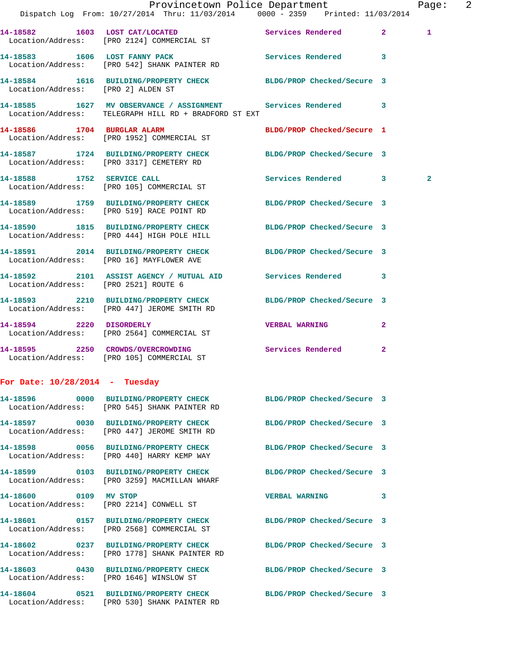|                                      |                                                                                                                       | Provincetown Police Department |              | Page: 2        |  |
|--------------------------------------|-----------------------------------------------------------------------------------------------------------------------|--------------------------------|--------------|----------------|--|
|                                      | Dispatch Log From: 10/27/2014 Thru: 11/03/2014 0000 - 2359 Printed: 11/03/2014                                        |                                |              |                |  |
|                                      | 14-18582 1603 LOST CAT/LOCATED Services Rendered 2<br>Location/Address: [PRO 2124] COMMERCIAL ST                      |                                |              | 1              |  |
|                                      | 14-18583 1606 LOST FANNY PACK Services Rendered 3<br>Location/Address: [PRO 542] SHANK PAINTER RD                     |                                |              |                |  |
|                                      | 14-18584   1616   BUILDING/PROPERTY CHECK BLDG/PROP Checked/Secure 3   Location/Address: [PRO 2] ALDEN ST             |                                |              |                |  |
|                                      | 14-18585 1627 MV OBSERVANCE / ASSIGNMENT Services Rendered 3<br>Location/Address: TELEGRAPH HILL RD + BRADFORD ST EXT |                                |              |                |  |
|                                      | 14-18586 1704 BURGLAR ALARM<br>Location/Address: [PRO 1952] COMMERCIAL ST                                             | BLDG/PROP Checked/Secure 1     |              |                |  |
|                                      | 14-18587 1724 BUILDING/PROPERTY CHECK BLDG/PROP Checked/Secure 3<br>Location/Address: [PRO 3317] CEMETERY RD          |                                |              |                |  |
|                                      | 14-18588 1752 SERVICE CALL<br>Location/Address: [PRO 105] COMMERCIAL ST                                               | Services Rendered 3            |              | $\overline{2}$ |  |
|                                      | 14-18589 1759 BUILDING/PROPERTY CHECK<br>Location/Address: [PRO 519] RACE POINT RD                                    | BLDG/PROP Checked/Secure 3     |              |                |  |
|                                      | 14-18590 1815 BUILDING/PROPERTY CHECK BLDG/PROP Checked/Secure 3<br>Location/Address: [PRO 444] HIGH POLE HILL        |                                |              |                |  |
|                                      | 14-18591 2014 BUILDING/PROPERTY CHECK BLDG/PROP Checked/Secure 3<br>Location/Address: [PRO 16] MAYFLOWER AVE          |                                |              |                |  |
| Location/Address: [PRO 2521] ROUTE 6 | 14-18592 2101 ASSIST AGENCY / MUTUAL AID Services Rendered 3                                                          |                                |              |                |  |
|                                      | 14-18593 2210 BUILDING/PROPERTY CHECK<br>Location/Address: [PRO 447] JEROME SMITH RD                                  | BLDG/PROP Checked/Secure 3     |              |                |  |
|                                      | 14-18594 2220 DISORDERLY<br>Location/Address: [PRO 2564] COMMERCIAL ST                                                | <b>VERBAL WARNING</b>          | $\mathbf{2}$ |                |  |
|                                      | 14-18595 2250 CROWDS/OVERCROWDING<br>Location/Address: [PRO 105] COMMERCIAL ST                                        | Services Rendered 2            |              |                |  |
| For Date: $10/28/2014$ - Tuesday     |                                                                                                                       |                                |              |                |  |
|                                      | 14-18596 0000 BUILDING/PROPERTY CHECK BLDG/PROP Checked/Secure 3<br>Location/Address: [PRO 545] SHANK PAINTER RD      |                                |              |                |  |
|                                      | 14-18597 0030 BUILDING/PROPERTY CHECK<br>Location/Address: [PRO 447] JEROME SMITH RD                                  | BLDG/PROP Checked/Secure 3     |              |                |  |
|                                      | 14-18598 0056 BUILDING/PROPERTY CHECK<br>Location/Address: [PRO 440] HARRY KEMP WAY                                   | BLDG/PROP Checked/Secure 3     |              |                |  |
|                                      | 14-18599 0103 BUILDING/PROPERTY CHECK<br>Location/Address: [PRO 3259] MACMILLAN WHARF                                 | BLDG/PROP Checked/Secure 3     |              |                |  |
| 14-18600 0109 MV STOP                | Location/Address: [PRO 2214] CONWELL ST                                                                               | <b>VERBAL WARNING</b>          | 3            |                |  |
|                                      | 14-18601 0157 BUILDING/PROPERTY CHECK<br>Location/Address: [PRO 2568] COMMERCIAL ST                                   | BLDG/PROP Checked/Secure 3     |              |                |  |
|                                      | 14-18602 0237 BUILDING/PROPERTY CHECK<br>Location/Address: [PRO 1778] SHANK PAINTER RD                                | BLDG/PROP Checked/Secure 3     |              |                |  |
|                                      | 14-18603 0430 BUILDING/PROPERTY CHECK BLDG/PROP Checked/Secure 3<br>Location/Address: [PRO 1646] WINSLOW ST           |                                |              |                |  |
|                                      | 14-18604 0521 BUILDING/PROPERTY CHECK BLDG/PROP Checked/Secure 3                                                      |                                |              |                |  |

Location/Address: [PRO 530] SHANK PAINTER RD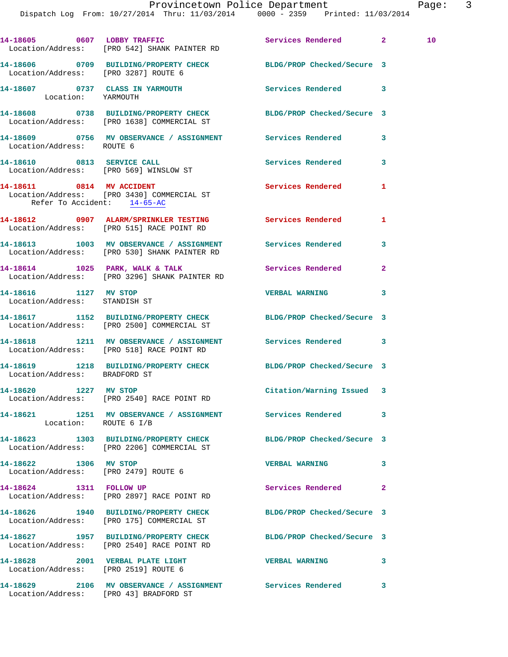**14-18605 0607 LOBBY TRAFFIC Services Rendered 2 10**  Location/Address: [PRO 542] SHANK PAINTER RD **14-18606 0709 BUILDING/PROPERTY CHECK BLDG/PROP Checked/Secure 3**  Location/Address: [PRO 3287] ROUTE 6 **14-18607 0737 CLASS IN YARMOUTH Services Rendered 3**  Location: YARMOUTH **14-18608 0738 BUILDING/PROPERTY CHECK BLDG/PROP Checked/Secure 3**  Location/Address: [PRO 1638] COMMERCIAL ST **14-18609 0756 MV OBSERVANCE / ASSIGNMENT Services Rendered 3**  Location/Address: ROUTE 6 14-18610 0813 SERVICE CALL Services Rendered 3 Location/Address: [PRO 569] WINSLOW ST **14-18611 0814 MV ACCIDENT Services Rendered 1**  Location/Address: [PRO 3430] COMMERCIAL ST Refer To Accident: 14-65-AC **14-18612 0907 ALARM/SPRINKLER TESTING Services Rendered 1**  Location/Address: [PRO 515] RACE POINT RD **14-18613 1003 MV OBSERVANCE / ASSIGNMENT Services Rendered 3**  Location/Address: [PRO 530] SHANK PAINTER RD **14-18614 1025 PARK, WALK & TALK Services Rendered 2**  Location/Address: [PRO 3296] SHANK PAINTER RD **14-18616 1127 MV STOP VERBAL WARNING 3**  Location/Address: STANDISH ST **14-18617 1152 BUILDING/PROPERTY CHECK BLDG/PROP Checked/Secure 3**  Location/Address: [PRO 2500] COMMERCIAL ST **14-18618 1211 MV OBSERVANCE / ASSIGNMENT Services Rendered 3**  Location/Address: [PRO 518] RACE POINT RD **14-18619 1218 BUILDING/PROPERTY CHECK BLDG/PROP Checked/Secure 3**  Location/Address: BRADFORD ST **14-18620 1227 MV STOP Citation/Warning Issued 3**  Location/Address: [PRO 2540] RACE POINT RD **14-18621 1251 MV OBSERVANCE / ASSIGNMENT Services Rendered 3**  Location: ROUTE 6 I/B **14-18623 1303 BUILDING/PROPERTY CHECK BLDG/PROP Checked/Secure 3**  Location/Address: [PRO 2206] COMMERCIAL ST **14-18622 1306 MV STOP VERBAL WARNING 3**  Location/Address: [PRO 2479] ROUTE 6 **14-18624 1311 FOLLOW UP Services Rendered 2**  Location/Address: [PRO 2897] RACE POINT RD **14-18626 1940 BUILDING/PROPERTY CHECK BLDG/PROP Checked/Secure 3**  Location/Address: [PRO 175] COMMERCIAL ST **14-18627 1957 BUILDING/PROPERTY CHECK BLDG/PROP Checked/Secure 3**  Location/Address: [PRO 2540] RACE POINT RD **14-18628 2001 VERBAL PLATE LIGHT VERBAL WARNING 3**  Location/Address: [PRO 2519] ROUTE 6 **14-18629 2106 MV OBSERVANCE / ASSIGNMENT Services Rendered 3** 

Location/Address: [PRO 43] BRADFORD ST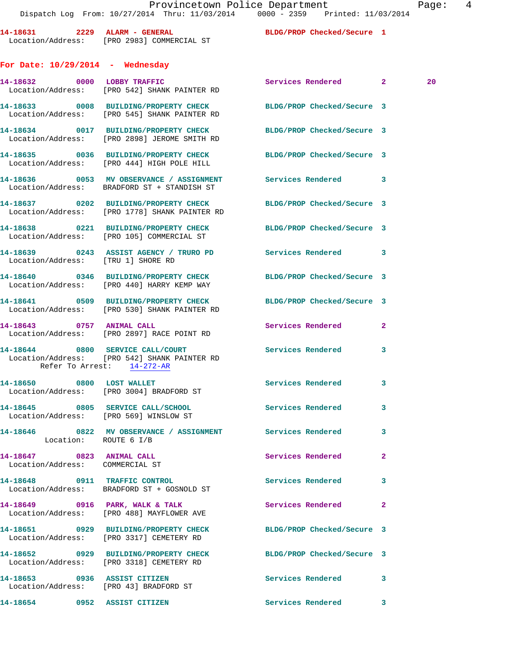14-18631 2229 ALARM - GENERAL Location/Address: [PRO 2983] COMMERCIAL ST **For Date: 10/29/2014 - Wednesday** Location/Address: [PRO 542] SHANK 14-18633 0008 BUILDING/PROPER Location/Address: [PRO 545] SHANK 14-18634 0017 BUILDING/PROPER Location/Address: [PRO 2898] JEROM 14-18635 0036 BUILDING/PROPER Location/Address: [PRO 444] HIGH **14-18636 0053 MV OBSERVANCE / ASSIGNMENT Services Rendered 3**  Location/Address: BRADFORD ST + STANDISH ST 14-18637 0202 BUILDING/PROPER Location/Address: [PRO 1778] SHAN 14-18638 0221 BUILDING/PROPER Location/Address: [PRO 105] COMMED 14-18639 0243 ASSIST AGENCY Location/Address: [TRU 1] SHORE RD 14-18640 0346 BUILDING/PROPER Location/Address: [PRO 440] HARRY 14-18641 0509 BUILDING/PROPER Location/Address: [PRO 530] SHANK **14-18643 0757 ANIMAL CALL Services Rendered 2**  Location/Address: [PRO 2897] RACE 14-18644 0800 SERVICE CALL/CO Location/Address: [PRO 542] SHANK Refer To Arrest: 14-272-AR 14-18650 0800 LOST WALLET Location/Address: [PRO 3004] BRADI **14-18645** 0805 SERVICE CALL/SO Location/Address: [PRO 569] WINSL 14-18646 0822 MV OBSERVANCE / Location: ROUTE 6 I/B

**14-18647 0823 ANIMAL CALL Services Rendered 2**  Location/Address: COMMERCIAL ST

Location/Address: BRADFORD ST + GOSNOLD ST

**14-18649 0916 PARK, WALK & TALK Services Rendered 2**  Location/Address: [PRO 488] MAYFLOWER AVE

**14-18651 0929 BUILDING/PROPERTY CHECK BLDG/PROP Checked/Secure 3**  Location/Address: [PRO 3317] CEMETERY RD

**14-18652 0929 BUILDING/PROPERTY CHECK BLDG/PROP Checked/Secure 3**  Location/Address: [PRO 3318] CEMETERY RD

Location/Address: [PRO 43] BRADFORD ST

|  | BLDG/PROP Checked/Secure |  |
|--|--------------------------|--|
|--|--------------------------|--|

|                                    | 14-18632 0000 LOBBY TRAFFIC<br>Location/Address: [PRO 542] SHANK PAINTER RD                                       | Services Rendered 2      |                | -20 |
|------------------------------------|-------------------------------------------------------------------------------------------------------------------|--------------------------|----------------|-----|
|                                    | 14-18633 0008 BUILDING/PROPERTY CHECK BLDG/PROP Checked/Secure 3<br>Location/Address: [PRO 545] SHANK PAINTER RD  |                          |                |     |
|                                    | 14-18634 0017 BUILDING/PROPERTY CHECK BLDG/PROP Checked/Secure 3<br>Location/Address: [PRO 2898] JEROME SMITH RD  |                          |                |     |
|                                    | 14-18635 0036 BUILDING/PROPERTY CHECK BLDG/PROP Checked/Secure 3<br>Location/Address: [PRO 444] HIGH POLE HILL    |                          |                |     |
|                                    | 14-18636 6 0053 MV OBSERVANCE / ASSIGNMENT Services Rendered<br>Location/Address: BRADFORD ST + STANDISH ST       |                          | 3              |     |
|                                    | 14-18637 0202 BUILDING/PROPERTY CHECK BLDG/PROP Checked/Secure 3<br>Location/Address: [PRO 1778] SHANK PAINTER RD |                          |                |     |
|                                    | 14-18638 0221 BUILDING/PROPERTY CHECK BLDG/PROP Checked/Secure 3<br>Location/Address: [PRO 105] COMMERCIAL ST     |                          |                |     |
| Location/Address: [TRU 1] SHORE RD | 14-18639 0243 ASSIST AGENCY / TRURO PD Services Rendered 3                                                        |                          |                |     |
|                                    | 14-18640 0346 BUILDING/PROPERTY CHECK BLDG/PROP Checked/Secure 3<br>Location/Address: [PRO 440] HARRY KEMP WAY    |                          |                |     |
|                                    | 14-18641 0509 BUILDING/PROPERTY CHECK BLDG/PROP Checked/Secure 3<br>Location/Address: [PRO 530] SHANK PAINTER RD  |                          |                |     |
| 14-18643 0757 ANIMAL CALL          | Location/Address: [PRO 2897] RACE POINT RD                                                                        | Services Rendered        | $\overline{2}$ |     |
| Refer To Arrest: 14-272-AR         | 14-18644 0800 SERVICE CALL/COURT<br>Location/Address: [PRO 542] SHANK PAINTER RD                                  | Services Rendered        | 3              |     |
|                                    | 14-18650 0800 LOST WALLET<br>Location/Address: [PRO 3004] BRADFORD ST                                             | <b>Services Rendered</b> | 3              |     |
|                                    | 14-18645 0805 SERVICE CALL/SCHOOL 5ervices Rendered<br>Location/Address: [PRO 569] WINSLOW ST                     |                          | $\mathbf{3}$   |     |
| Location: ROUTE 6 I/B              | 14-18646 0822 MV OBSERVANCE / ASSIGNMENT Services Rendered                                                        |                          | $\mathbf{3}$   |     |
|                                    | $14.10647$ $0002$ $0003$ $011$                                                                                    |                          |                |     |

**14-18648 0911 TRAFFIC CONTROL Services Rendered 3** 

**14-18653 0936 ASSIST CITIZEN Services Rendered 3** 

**14-18654 0952 ASSIST CITIZEN Services Rendered 3**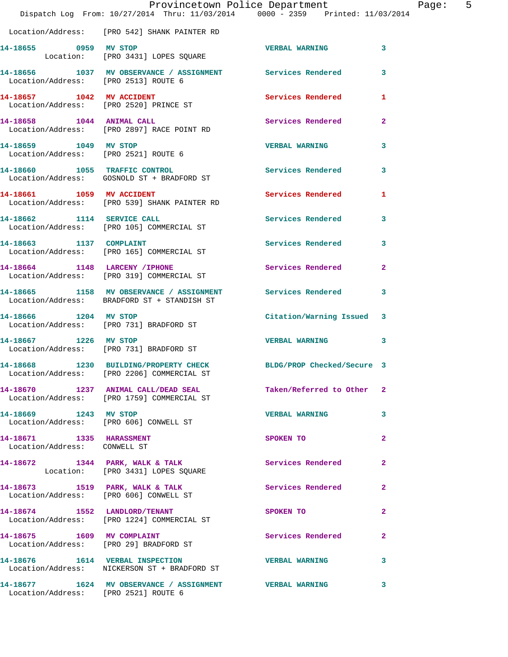|                                                               | Provincetown Police Department<br>Dispatch Log From: 10/27/2014 Thru: 11/03/2014 0000 - 2359 Printed: 11/03/2014 |                            |                |
|---------------------------------------------------------------|------------------------------------------------------------------------------------------------------------------|----------------------------|----------------|
|                                                               | Location/Address: [PRO 542] SHANK PAINTER RD                                                                     |                            |                |
| 14-18655 0959 MV STOP                                         | Location: [PRO 3431] LOPES SQUARE                                                                                | <b>VERBAL WARNING</b>      | 3              |
| Location/Address: [PRO 2513] ROUTE 6                          | 14-18656 1037 MV OBSERVANCE / ASSIGNMENT Services Rendered                                                       |                            | 3              |
| 14-18657 1042 MV ACCIDENT                                     | Location/Address: [PRO 2520] PRINCE ST                                                                           | Services Rendered          | 1              |
| 14-18658 1044 ANIMAL CALL                                     | Location/Address: [PRO 2897] RACE POINT RD                                                                       | <b>Services Rendered</b>   | $\overline{2}$ |
| 14-18659 1049 MV STOP<br>Location/Address: [PRO 2521] ROUTE 6 |                                                                                                                  | <b>VERBAL WARNING</b>      | 3              |
| 14-18660 1055 TRAFFIC CONTROL                                 | Location/Address: GOSNOLD ST + BRADFORD ST                                                                       | <b>Services Rendered</b>   | 3              |
| 14-18661 1059 MV ACCIDENT                                     | Location/Address: [PRO 539] SHANK PAINTER RD                                                                     | Services Rendered          | 1              |
| 14-18662 1114 SERVICE CALL                                    | Location/Address: [PRO 105] COMMERCIAL ST                                                                        | <b>Services Rendered</b>   | 3              |
|                                                               | 14-18663 1137 COMPLAINT<br>Location/Address: [PRO 165] COMMERCIAL ST                                             | <b>Services Rendered</b>   | 3              |
| 14-18664 1148 LARCENY / IPHONE                                | Location/Address: [PRO 319] COMMERCIAL ST                                                                        | <b>Services Rendered</b>   | $\overline{a}$ |
|                                                               | 14-18665 1158 MV OBSERVANCE / ASSIGNMENT<br>Location/Address: BRADFORD ST + STANDISH ST                          | Services Rendered          | 3              |
| 14-18666 1204 MV STOP                                         | Location/Address: [PRO 731] BRADFORD ST                                                                          | Citation/Warning Issued    | 3              |
| 14-18667 1226 MV STOP                                         | Location/Address: [PRO 731] BRADFORD ST                                                                          | <b>VERBAL WARNING</b>      | 3              |
|                                                               | 14-18668 1230 BUILDING/PROPERTY CHECK<br>Location/Address: [PRO 2206] COMMERCIAL ST                              | BLDG/PROP Checked/Secure 3 |                |
|                                                               | 14-18670 1237 ANIMAL CALL/DEAD SEAL<br>Location/Address: [PRO 1759] COMMERCIAL ST                                | Taken/Referred to Other    | $\mathbf{2}$   |
| 14-18669 1243 MV STOP                                         | Location/Address: [PRO 606] CONWELL ST                                                                           | <b>VERBAL WARNING</b>      | 3              |
| 14-18671 1335 HARASSMENT<br>Location/Address: CONWELL ST      |                                                                                                                  | SPOKEN TO                  | $\overline{a}$ |
|                                                               | 14-18672 1344 PARK, WALK & TALK<br>Location: [PRO 3431] LOPES SQUARE                                             | Services Rendered          | $\mathbf{2}$   |
|                                                               | 14-18673 1519 PARK, WALK & TALK<br>Location/Address: [PRO 606] CONWELL ST                                        | Services Rendered          | 2              |
|                                                               | 14-18674 1552 LANDLORD/TENANT<br>Location/Address: [PRO 1224] COMMERCIAL ST                                      | SPOKEN TO                  | 2              |
|                                                               | 14-18675 1609 MV COMPLAINT<br>Location/Address: [PRO 29] BRADFORD ST                                             | Services Rendered          | $\mathbf{2}$   |
|                                                               | 14-18676  1614  VERBAL INSPECTION<br>Location/Address: NICKERSON ST + BRADFORD ST                                | <b>VERBAL WARNING</b>      | 3              |
| Location/Address: [PRO 2521] ROUTE 6                          | 14-18677 1624 MV OBSERVANCE / ASSIGNMENT VERBAL WARNING                                                          |                            | 3              |

Page: 5<br><sup>14</sup>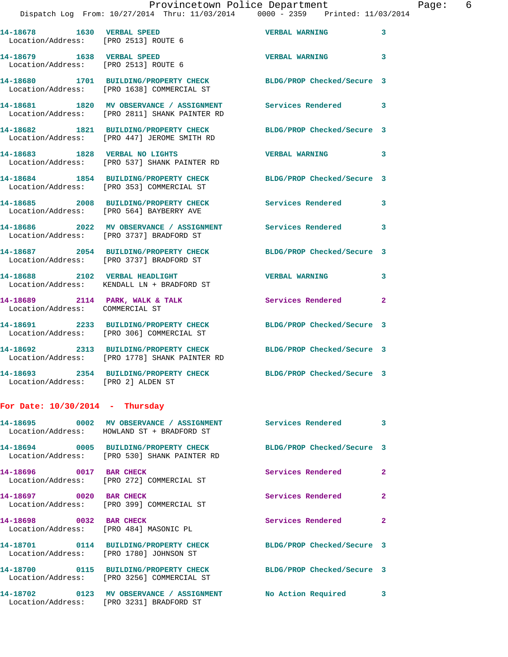| 14-18678   1630   VERBAL SPEED<br>Location/Address: [PRO 2513] ROUTE 6 |                                                                                                          | <b>VERBAL WARNING</b>      | 3            |
|------------------------------------------------------------------------|----------------------------------------------------------------------------------------------------------|----------------------------|--------------|
| 14-18679 1638 VERBAL SPEED<br>Location/Address: [PRO 2513] ROUTE 6     |                                                                                                          | <b>VERBAL WARNING</b>      | 3            |
|                                                                        | 14-18680 1701 BUILDING/PROPERTY CHECK<br>Location/Address: [PRO 1638] COMMERCIAL ST                      | BLDG/PROP Checked/Secure 3 |              |
|                                                                        | 14-18681 1820 MV OBSERVANCE / ASSIGNMENT<br>Location/Address: [PRO 2811] SHANK PAINTER RD                | Services Rendered          | 3            |
|                                                                        | 14-18682 1821 BUILDING/PROPERTY CHECK<br>Location/Address: [PRO 447] JEROME SMITH RD                     | BLDG/PROP Checked/Secure 3 |              |
| 14-18683 1828 VERBAL NO LIGHTS                                         | Location/Address: [PRO 537] SHANK PAINTER RD                                                             | <b>VERBAL WARNING</b>      | 3            |
|                                                                        | 14-18684 1854 BUILDING/PROPERTY CHECK<br>Location/Address: [PRO 353] COMMERCIAL ST                       | BLDG/PROP Checked/Secure 3 |              |
|                                                                        | 14-18685 2008 BUILDING/PROPERTY CHECK<br>Location/Address: [PRO 564] BAYBERRY AVE                        | Services Rendered          | 3            |
|                                                                        | 14-18686 2022 MV OBSERVANCE / ASSIGNMENT<br>Location/Address: [PRO 3737] BRADFORD ST                     | Services Rendered          | 3            |
|                                                                        | 14-18687 2054 BUILDING/PROPERTY CHECK<br>Location/Address: [PRO 3737] BRADFORD ST                        | BLDG/PROP Checked/Secure 3 |              |
| 14-18688 2102 VERBAL HEADLIGHT                                         | Location/Address: KENDALL LN + BRADFORD ST                                                               | <b>VERBAL WARNING</b>      | 3            |
| Location/Address: COMMERCIAL ST                                        | 14-18689 2114 PARK, WALK & TALK                                                                          | Services Rendered          | $\mathbf{2}$ |
|                                                                        | 14-18691 2233 BUILDING/PROPERTY CHECK<br>Location/Address: [PRO 306] COMMERCIAL ST                       | BLDG/PROP Checked/Secure 3 |              |
|                                                                        | 14-18692 2313 BUILDING/PROPERTY CHECK<br>Location/Address: [PRO 1778] SHANK PAINTER RD                   | BLDG/PROP Checked/Secure 3 |              |
| Location/Address: [PRO 2] ALDEN ST                                     | 14-18693 2354 BUILDING/PROPERTY CHECK                                                                    | BLDG/PROP Checked/Secure 3 |              |
| For Date: $10/30/2014$ - Thursday                                      |                                                                                                          |                            |              |
|                                                                        | 14-18695 0002 MV OBSERVANCE / ASSIGNMENT Services Rendered<br>Location/Address: HOWLAND ST + BRADFORD ST |                            | $\sim$ 3     |
|                                                                        | 14-18694 0005 BUILDING/PROPERTY CHECK<br>Location/Address: [PRO 530] SHANK PAINTER RD                    | BLDG/PROP Checked/Secure 3 |              |
| 14-18696 0017 BAR CHECK                                                | Location/Address: [PRO 272] COMMERCIAL ST                                                                | <b>Services Rendered</b>   | $\mathbf{2}$ |
| 14-18697 0020 BAR CHECK                                                | Location/Address: [PRO 399] COMMERCIAL ST                                                                | Services Rendered          | $\mathbf{2}$ |
| 14-18698 0032 BAR CHECK                                                | Location/Address: [PRO 484] MASONIC PL                                                                   | Services Rendered          | $\mathbf{2}$ |
|                                                                        | 14-18701 0114 BUILDING/PROPERTY CHECK<br>Location/Address: [PRO 1780] JOHNSON ST                         | BLDG/PROP Checked/Secure 3 |              |
|                                                                        | 14-18700 0115 BUILDING/PROPERTY CHECK<br>Location/Address: [PRO 3256] COMMERCIAL ST                      | BLDG/PROP Checked/Secure 3 |              |
|                                                                        | 14-18702 0123 MV OBSERVANCE / ASSIGNMENT<br>Location/Address: [PRO 3231] BRADFORD ST                     | No Action Required         | 3            |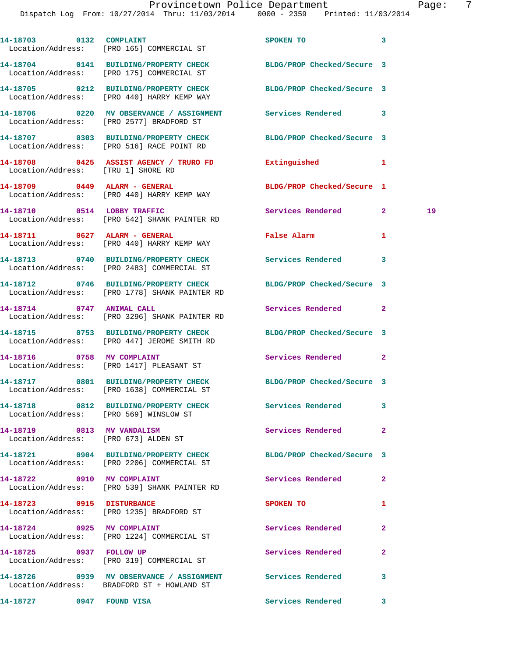Dispatch Log From: 10/27/2014 Thru: 11/03/2014 0000 - 2359 Printed: 11/03/2014

| aae |  |
|-----|--|
|     |  |

|                            | 14-18703 0132 COMPLAINT<br>Location/Address: [PRO 165] COMMERCIAL ST                                     | SPOKEN TO                  | 3              |    |
|----------------------------|----------------------------------------------------------------------------------------------------------|----------------------------|----------------|----|
|                            | 14-18704 0141 BUILDING/PROPERTY CHECK<br>Location/Address: [PRO 175] COMMERCIAL ST                       | BLDG/PROP Checked/Secure 3 |                |    |
|                            | 14-18705 0212 BUILDING/PROPERTY CHECK<br>Location/Address: [PRO 440] HARRY KEMP WAY                      | BLDG/PROP Checked/Secure 3 |                |    |
|                            | 14-18706 0220 MV OBSERVANCE / ASSIGNMENT Services Rendered 3<br>Location/Address: [PRO 2577] BRADFORD ST |                            |                |    |
|                            | 14-18707 0303 BUILDING/PROPERTY CHECK<br>Location/Address: [PRO 516] RACE POINT RD                       | BLDG/PROP Checked/Secure 3 |                |    |
|                            | 14-18708 0425 ASSIST AGENCY / TRURO FD<br>Location/Address: [TRU 1] SHORE RD                             | Extinguished               | 1              |    |
|                            | 14-18709 0449 ALARM - GENERAL<br>Location/Address: [PRO 440] HARRY KEMP WAY                              | BLDG/PROP Checked/Secure 1 |                |    |
|                            | 14-18710 0514 LOBBY TRAFFIC<br>Location/Address: [PRO 542] SHANK PAINTER RD                              | Services Rendered          | $\mathbf{2}$   | 19 |
|                            | 14-18711 0627 ALARM - GENERAL<br>Location/Address: [PRO 440] HARRY KEMP WAY                              | False Alarm                | 1              |    |
|                            | 14-18713 0740 BUILDING/PROPERTY CHECK<br>Location/Address: [PRO 2483] COMMERCIAL ST                      | <b>Services Rendered</b>   | 3              |    |
|                            | 14-18712 0746 BUILDING/PROPERTY CHECK<br>Location/Address: [PRO 1778] SHANK PAINTER RD                   | BLDG/PROP Checked/Secure 3 |                |    |
| 14-18714 0747 ANIMAL CALL  | Location/Address: [PRO 3296] SHANK PAINTER RD                                                            | Services Rendered          | 2              |    |
|                            | 14-18715 0753 BUILDING/PROPERTY CHECK<br>Location/Address: [PRO 447] JEROME SMITH RD                     | BLDG/PROP Checked/Secure 3 |                |    |
|                            | 14-18716 0758 MV COMPLAINT<br>Location/Address: [PRO 1417] PLEASANT ST                                   | Services Rendered          | 2              |    |
|                            | 14-18717 0801 BUILDING/PROPERTY CHECK<br>Location/Address: [PRO 1638] COMMERCIAL ST                      | BLDG/PROP Checked/Secure 3 |                |    |
|                            | 14-18718 0812 BUILDING/PROPERTY CHECK<br>Location/Address: [PRO 569] WINSLOW ST                          | Services Rendered          | 3              |    |
|                            | 14-18719 0813 MV VANDALISM<br>Location/Address: [PRO 673] ALDEN ST                                       | Services Rendered          | $\overline{2}$ |    |
|                            | 14-18721 0904 BUILDING/PROPERTY CHECK<br>Location/Address: [PRO 2206] COMMERCIAL ST                      | BLDG/PROP Checked/Secure 3 |                |    |
|                            | 14-18722 0910 MV COMPLAINT<br>Location/Address: [PRO 539] SHANK PAINTER RD                               | Services Rendered          | $\mathbf{2}$   |    |
| 14-18723 0915 DISTURBANCE  | Location/Address: [PRO 1235] BRADFORD ST                                                                 | SPOKEN TO                  | 1              |    |
| 14-18724 0925 MV COMPLAINT |                                                                                                          | Services Rendered          | $\mathbf{2}$   |    |
|                            | Location/Address: [PRO 1224] COMMERCIAL ST<br>14-18725 0937 FOLLOW UP                                    | Services Rendered          | 2              |    |
|                            | Location/Address: [PRO 319] COMMERCIAL ST<br>14-18726 0939 MV OBSERVANCE / ASSIGNMENT Services Rendered  |                            | 3              |    |
|                            | Location/Address: BRADFORD ST + HOWLAND ST                                                               | Services Rendered          | 3              |    |
|                            |                                                                                                          |                            |                |    |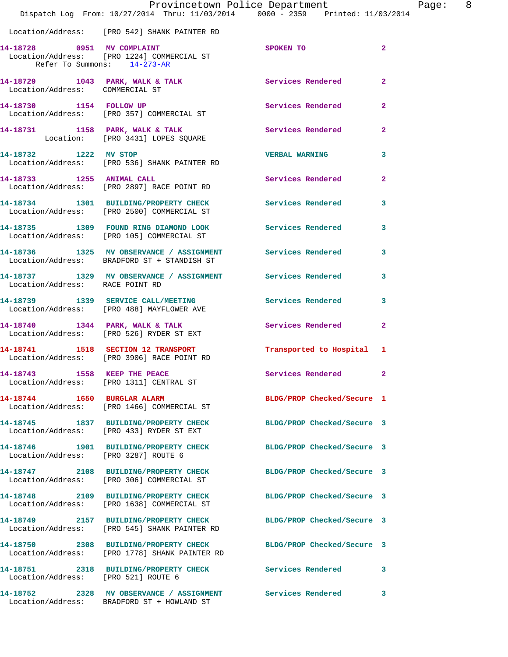|                                      | Dispatch Log From: 10/27/2014 Thru: 11/03/2014 0000 - 2359 Printed: 11/03/2014                                    | Provincetown Police Department Fage: | 8              |
|--------------------------------------|-------------------------------------------------------------------------------------------------------------------|--------------------------------------|----------------|
|                                      | Location/Address: [PRO 542] SHANK PAINTER RD                                                                      |                                      |                |
| Refer To Summons: 14-273-AR          | 14-18728 0951 MV COMPLAINT<br>Location/Address: [PRO 1224] COMMERCIAL ST                                          | <b>SPOKEN TO</b>                     | $\overline{2}$ |
| Location/Address: COMMERCIAL ST      | 14-18729 1043 PARK, WALK & TALK Services Rendered                                                                 |                                      | $\mathbf{2}$   |
|                                      | 14-18730 1154 FOLLOW UP Services Rendered<br>Location/Address: [PRO 357] COMMERCIAL ST                            |                                      | $\mathbf{2}$   |
|                                      | 14-18731 1158 PARK, WALK & TALK 118 Services Rendered<br>Location: [PRO 3431] LOPES SQUARE                        |                                      | $\mathbf{2}$   |
| 14-18732 1222 MV STOP                | Location/Address: [PRO 536] SHANK PAINTER RD                                                                      | <b>VERBAL WARNING</b>                | 3              |
|                                      | 14-18733 1255 ANIMAL CALL<br>Location/Address: [PRO 2897] RACE POINT RD                                           | <b>Services Rendered</b>             | $\mathbf{2}$   |
|                                      | 14-18734 1301 BUILDING/PROPERTY CHECK Services Rendered<br>Location/Address: [PRO 2500] COMMERCIAL ST             |                                      | 3              |
|                                      | 14-18735 1309 FOUND RING DIAMOND LOOK Services Rendered 3<br>Location/Address: [PRO 105] COMMERCIAL ST            |                                      |                |
|                                      | 14-18736 1325 MV OBSERVANCE / ASSIGNMENT Services Rendered<br>Location/Address: BRADFORD ST + STANDISH ST         |                                      | 3              |
| Location/Address: RACE POINT RD      | 14-18737 1329 MV OBSERVANCE / ASSIGNMENT Services Rendered 3                                                      |                                      |                |
|                                      | 14-18739 1339 SERVICE CALL/MEETING Services Rendered<br>Location/Address: [PRO 488] MAYFLOWER AVE                 |                                      | 3              |
|                                      | 14-18740 1344 PARK, WALK & TALK 1988 Services Rendered 2<br>Location/Address: [PRO 526] RYDER ST EXT              |                                      |                |
|                                      | 14-18741 1518 SECTION 12 TRANSPORT 12 Transported to Hospital 1<br>Location/Address: [PRO 3906] RACE POINT RD     |                                      |                |
|                                      | 14-18743 1558 KEEP THE PEACE<br>Location/Address: [PRO 1311] CENTRAL ST                                           | Services Rendered 2                  |                |
|                                      | 14-18744 1650 BURGLAR ALARM<br>Location/Address: [PRO 1466] COMMERCIAL ST                                         | BLDG/PROP Checked/Secure 1           |                |
|                                      | 14-18745 1837 BUILDING/PROPERTY CHECK<br>Location/Address: [PRO 433] RYDER ST EXT                                 | BLDG/PROP Checked/Secure 3           |                |
| Location/Address: [PRO 3287] ROUTE 6 | 14-18746 1901 BUILDING/PROPERTY CHECK BLDG/PROP Checked/Secure 3                                                  |                                      |                |
|                                      | 14-18747 2108 BUILDING/PROPERTY CHECK BLDG/PROP Checked/Secure 3<br>Location/Address: [PRO 306] COMMERCIAL ST     |                                      |                |
|                                      | 14-18748 2109 BUILDING/PROPERTY CHECK BLDG/PROP Checked/Secure 3<br>Location/Address: [PRO 1638] COMMERCIAL ST    |                                      |                |
|                                      | 14-18749 2157 BUILDING/PROPERTY CHECK BLDG/PROP Checked/Secure 3<br>Location/Address: [PRO 545] SHANK PAINTER RD  |                                      |                |
|                                      | 14-18750 2308 BUILDING/PROPERTY CHECK BLDG/PROP Checked/Secure 3<br>Location/Address: [PRO 1778] SHANK PAINTER RD |                                      |                |
| Location/Address: [PRO 521] ROUTE 6  | 14-18751 2318 BUILDING/PROPERTY CHECK Services Rendered 3                                                         |                                      |                |
|                                      | 14-18752 2328 MV OBSERVANCE / ASSIGNMENT Services Rendered<br>Location/Address: BRADFORD ST + HOWLAND ST          |                                      | 3              |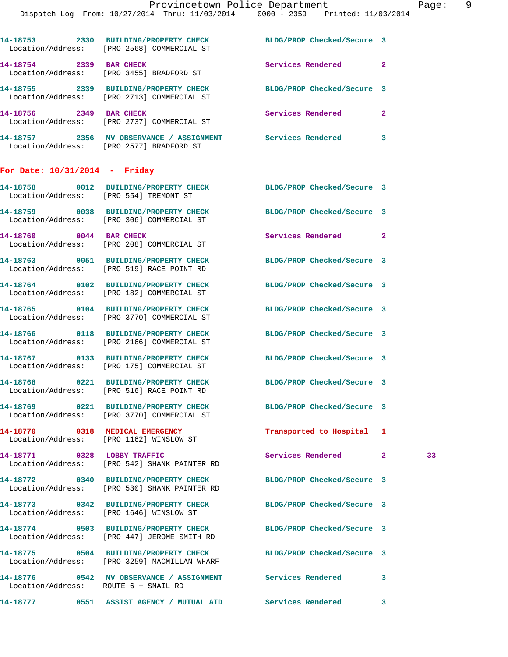| For Date: 10/31/2014 - Fridav         |                                                                |                            |              |
|---------------------------------------|----------------------------------------------------------------|----------------------------|--------------|
| 14-18757<br>2356<br>Location/Address: | MV OBSERVANCE / ASSIGNMENT<br>[PRO 2577] BRADFORD ST           | Services Rendered          | 3            |
| 14-18756<br>2349                      | <b>BAR CHECK</b><br>Location/Address: [PRO 2737] COMMERCIAL ST | Services Rendered          | $\mathbf{2}$ |
| 2339<br>14-18755<br>Location/Address: | <b>BUILDING/PROPERTY CHECK</b><br>[PRO 2713] COMMERCIAL ST     | BLDG/PROP Checked/Secure 3 |              |
| 14-18754<br>2339<br>Location/Address: | <b>BAR CHECK</b><br>[PRO 3455] BRADFORD ST                     | Services Rendered          | $\mathbf{2}$ |
| 2330<br>14-18753<br>Location/Address: | <b>BUILDING/PROPERTY CHECK</b><br>[PRO 2568] COMMERCIAL ST     | BLDG/PROP Checked/Secure 3 |              |
|                                       |                                                                |                            |              |

|                                      | 14-18758 0012 BUILDING/PROPERTY CHECK BLDG/PROP Checked/Secure 3<br>Location/Address: [PRO 554] TREMONT ST       |                            |    |
|--------------------------------------|------------------------------------------------------------------------------------------------------------------|----------------------------|----|
|                                      | 14-18759 0038 BUILDING/PROPERTY CHECK<br>Location/Address: [PRO 306] COMMERCIAL ST                               | BLDG/PROP Checked/Secure 3 |    |
| 14-18760 0044 BAR CHECK              | Location/Address: [PRO 208] COMMERCIAL ST                                                                        | Services Rendered 2        |    |
|                                      | 14-18763 0051 BUILDING/PROPERTY CHECK<br>Location/Address: [PRO 519] RACE POINT RD                               | BLDG/PROP Checked/Secure 3 |    |
|                                      | 14-18764 0102 BUILDING/PROPERTY CHECK<br>Location/Address: [PRO 182] COMMERCIAL ST                               | BLDG/PROP Checked/Secure 3 |    |
|                                      | 14-18765 0104 BUILDING/PROPERTY CHECK<br>Location/Address: [PRO 3770] COMMERCIAL ST                              | BLDG/PROP Checked/Secure 3 |    |
|                                      | 14-18766 0118 BUILDING/PROPERTY CHECK<br>Location/Address: [PRO 2166] COMMERCIAL ST                              | BLDG/PROP Checked/Secure 3 |    |
|                                      | 14-18767 0133 BUILDING/PROPERTY CHECK<br>Location/Address: [PRO 175] COMMERCIAL ST                               | BLDG/PROP Checked/Secure 3 |    |
|                                      | 14-18768 0221 BUILDING/PROPERTY CHECK<br>Location/Address: [PRO 516] RACE POINT RD                               | BLDG/PROP Checked/Secure 3 |    |
|                                      | 14-18769 0221 BUILDING/PROPERTY CHECK<br>Location/Address: [PRO 3770] COMMERCIAL ST                              | BLDG/PROP Checked/Secure 3 |    |
|                                      | 14-18770 0318 MEDICAL EMERGENCY<br>Location/Address: [PRO 1162] WINSLOW ST                                       | Transported to Hospital 1  |    |
| 14-18771 0328 LOBBY TRAFFIC          | Location/Address: [PRO 542] SHANK PAINTER RD                                                                     | Services Rendered 2        | 33 |
|                                      | 14-18772 0340 BUILDING/PROPERTY CHECK<br>Location/Address: [PRO 530] SHANK PAINTER RD                            | BLDG/PROP Checked/Secure 3 |    |
|                                      | 14-18773 0342 BUILDING/PROPERTY CHECK BLDG/PROP Checked/Secure 3<br>Location/Address: [PRO 1646] WINSLOW ST      |                            |    |
|                                      | 14-18774 0503 BUILDING/PROPERTY CHECK<br>Location/Address: [PRO 447] JEROME SMITH RD                             | BLDG/PROP Checked/Secure 3 |    |
|                                      | 14-18775 0504 BUILDING/PROPERTY CHECK BLDG/PROP Checked/Secure 3<br>Location/Address: [PRO 3259] MACMILLAN WHARF |                            |    |
| Location/Address: ROUTE 6 + SNAIL RD | 14-18776 0542 MV OBSERVANCE / ASSIGNMENT Services Rendered 3                                                     |                            |    |
|                                      |                                                                                                                  |                            |    |

**14-18777 0551 ASSIST AGENCY / MUTUAL AID Services Rendered 3**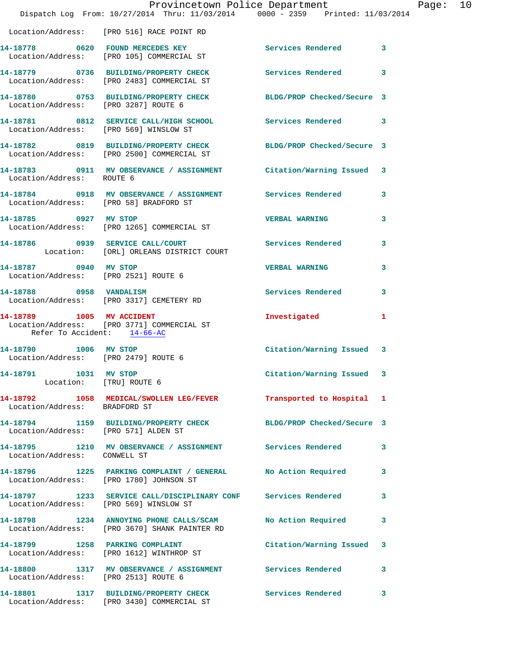|                                                               |                                                                                                                | Provincetown Police Department |              | Page: 10 |
|---------------------------------------------------------------|----------------------------------------------------------------------------------------------------------------|--------------------------------|--------------|----------|
|                                                               | Dispatch Log From: 10/27/2014 Thru: 11/03/2014 0000 - 2359 Printed: 11/03/2014                                 |                                |              |          |
|                                                               | Location/Address: [PRO 516] RACE POINT RD                                                                      |                                |              |          |
|                                                               | 14-18778 0620 FOUND MERCEDES KEY Services Rendered 3<br>Location/Address: [PRO 105] COMMERCIAL ST              |                                |              |          |
|                                                               | 14-18779 0736 BUILDING/PROPERTY CHECK Services Rendered 3<br>Location/Address: [PRO 2483] COMMERCIAL ST        |                                |              |          |
| Location/Address: [PRO 3287] ROUTE 6                          | 14-18780 0753 BUILDING/PROPERTY CHECK BLDG/PROP Checked/Secure 3                                               |                                |              |          |
|                                                               | 14-18781 0812 SERVICE CALL/HIGH SCHOOL Services Rendered 3<br>Location/Address: [PRO 569] WINSLOW ST           |                                |              |          |
|                                                               | 14-18782 0819 BUILDING/PROPERTY CHECK BLDG/PROP Checked/Secure 3<br>Location/Address: [PRO 2500] COMMERCIAL ST |                                |              |          |
| Location/Address: ROUTE 6                                     | 14-18783 0911 MV OBSERVANCE / ASSIGNMENT Citation/Warning Issued 3                                             |                                |              |          |
|                                                               | 14-18784 0918 MV OBSERVANCE / ASSIGNMENT Services Rendered 3<br>Location/Address: [PRO 58] BRADFORD ST         |                                |              |          |
|                                                               | 14-18785 0927 MV STOP<br>Location/Address: [PRO 1265] COMMERCIAL ST                                            | VERBAL WARNING                 | 3            |          |
|                                                               | 14-18786 0939 SERVICE CALL/COURT Services Rendered 13<br>Location: [ORL] ORLEANS DISTRICT COURT                |                                |              |          |
| 14-18787 0940 MV STOP                                         | Location/Address: [PRO 2521] ROUTE 6                                                                           | VERBAL WARNING                 | 3            |          |
|                                                               | 14-18788 0958 VANDALISM<br>Location/Address: [PRO 3317] CEMETERY RD                                            | Services Rendered 3            |              |          |
| Refer To Accident: 14-66-AC                                   | 14-18789 1005 MV ACCIDENT<br>Location/Address: [PRO 3771] COMMERCIAL ST                                        | Investigated                   | $\mathbf{1}$ |          |
| 14-18790 1006 MV STOP<br>Location/Address: [PRO 2479] ROUTE 6 |                                                                                                                | Citation/Warning Issued 3      |              |          |
| 14-18791 1031 MV STOP                                         | Location: [TRU] ROUTE 6<br>Location: [TRU] ROUTE 6<br>-18792                                                   | Citation/Warning Issued 3      |              |          |
| Location/Address: BRADFORD ST                                 | 14-18792 1058 MEDICAL/SWOLLEN LEG/FEVER Transported to Hospital 1                                              |                                |              |          |
| Location/Address: [PRO 571] ALDEN ST                          | 14-18794 1159 BUILDING/PROPERTY CHECK BLDG/PROP Checked/Secure 3                                               |                                |              |          |
|                                                               | 14-18795 1210 MV OBSERVANCE / ASSIGNMENT Services Rendered Location/Address: CONWELL ST                        |                                | 3            |          |
|                                                               | 14-18796 1225 PARKING COMPLAINT / GENERAL No Action Required<br>Location/Address: [PRO 1780] JOHNSON ST        |                                | 3            |          |
| Location/Address: [PRO 569] WINSLOW ST                        | 14-18797 1233 SERVICE CALL/DISCIPLINARY CONF Services Rendered                                                 |                                | 3            |          |
|                                                               | 14-18798 1234 ANNOYING PHONE CALLS/SCAM No Action Required<br>Location/Address: [PRO 3670] SHANK PAINTER RD    |                                | 3            |          |
|                                                               | 14-18799 1258 PARKING COMPLAINT<br>Location/Address: [PRO 1612] WINTHROP ST                                    | Citation/Warning Issued 3      |              |          |
| Location/Address: [PRO 2513] ROUTE 6                          | 14-18800 1317 MV OBSERVANCE / ASSIGNMENT Services Rendered                                                     |                                | 3            |          |
|                                                               | 14-18801 1317 BUILDING/PROPERTY CHECK Services Rendered 3                                                      |                                |              |          |

Location/Address: [PRO 3430] COMMERCIAL ST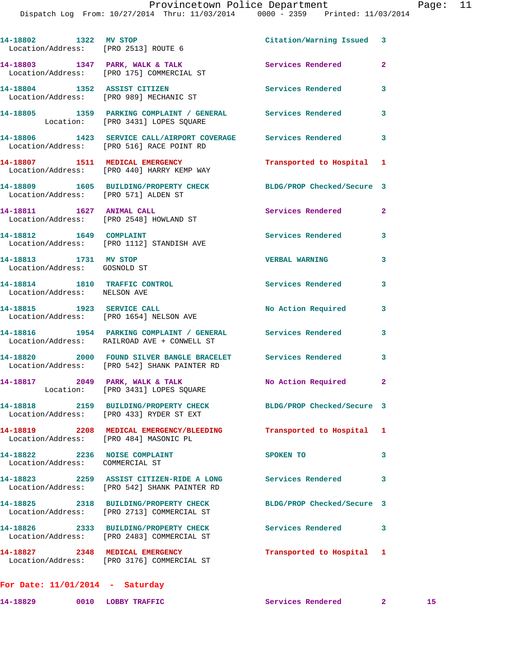| 14-18802 1322 MV STOP<br>Location/Address: [PRO 2513] ROUTE 6    |                                                                                                              | Citation/Warning Issued    | 3                       |
|------------------------------------------------------------------|--------------------------------------------------------------------------------------------------------------|----------------------------|-------------------------|
|                                                                  | 14-18803 1347 PARK, WALK & TALK<br>Location/Address: [PRO 175] COMMERCIAL ST                                 | <b>Services Rendered</b>   | $\overline{\mathbf{2}}$ |
|                                                                  | 14-18804 1352 ASSIST CITIZEN<br>Location/Address: [PRO 989] MECHANIC ST                                      | <b>Services Rendered</b>   | 3                       |
|                                                                  | 14-18805 1359 PARKING COMPLAINT / GENERAL Services Rendered<br>Location: [PRO 3431] LOPES SQUARE             |                            | 3                       |
|                                                                  | 14-18806 1423 SERVICE CALL/AIRPORT COVERAGE Services Rendered<br>Location/Address: [PRO 516] RACE POINT RD   |                            | 3                       |
|                                                                  | 14-18807 1511 MEDICAL EMERGENCY<br>Location/Address: [PRO 440] HARRY KEMP WAY                                | Transported to Hospital    | 1                       |
| Location/Address: [PRO 571] ALDEN ST                             | 14-18809 1605 BUILDING/PROPERTY CHECK                                                                        | BLDG/PROP Checked/Secure 3 |                         |
| 14-18811 1627 ANIMAL CALL                                        | Location/Address: [PRO 2548] HOWLAND ST                                                                      | <b>Services Rendered</b>   | $\mathbf{2}$            |
|                                                                  | 14-18812 1649 COMPLAINT<br>Location/Address: [PRO 1112] STANDISH AVE                                         | Services Rendered          | 3                       |
| 14-18813 1731 MV STOP<br>Location/Address: GOSNOLD ST            |                                                                                                              | <b>VERBAL WARNING</b>      | 3                       |
| 14-18814 1810 TRAFFIC CONTROL<br>Location/Address: NELSON AVE    |                                                                                                              | <b>Services Rendered</b>   | 3                       |
|                                                                  | 14-18815    1923    SERVICE CALL<br>Location/Address: [PRO 1654] NELSON AVE                                  | No Action Required         | 3                       |
|                                                                  | 14-18816 1954 PARKING COMPLAINT / GENERAL Services Rendered<br>Location/Address: RAILROAD AVE + CONWELL ST   |                            | 3                       |
|                                                                  | 14-18820 2000 FOUND SILVER BANGLE BRACELET Services Rendered<br>Location/Address: [PRO 542] SHANK PAINTER RD |                            | 3                       |
|                                                                  | 14-18817 2049 PARK, WALK & TALK<br>Location: [PRO 3431] LOPES SQUARE                                         | No Action Required         | $\mathbf{2}$            |
| 14-18818                                                         | 2159 BUILDING/PROPERTY CHECK<br>Location/Address: [PRO 433] RYDER ST EXT                                     | BLDG/PROP Checked/Secure 3 |                         |
| Location/Address: [PRO 484] MASONIC PL                           | 14-18819 2208 MEDICAL EMERGENCY/BLEEDING                                                                     | Transported to Hospital    | 1                       |
| 14-18822 2236 NOISE COMPLAINT<br>Location/Address: COMMERCIAL ST |                                                                                                              | SPOKEN TO                  | 3                       |
|                                                                  | 14-18823 2259 ASSIST CITIZEN-RIDE A LONG<br>Location/Address: [PRO 542] SHANK PAINTER RD                     | <b>Services Rendered</b>   | 3                       |
|                                                                  | 14-18825 2318 BUILDING/PROPERTY CHECK<br>Location/Address: [PRO 2713] COMMERCIAL ST                          | BLDG/PROP Checked/Secure 3 |                         |
|                                                                  | 14-18826 2333 BUILDING/PROPERTY CHECK<br>Location/Address: [PRO 2483] COMMERCIAL ST                          | <b>Services Rendered</b>   | 3                       |
|                                                                  | 14-18827 2348 MEDICAL EMERGENCY<br>Location/Address: [PRO 3176] COMMERCIAL ST                                | Transported to Hospital    | 1                       |
|                                                                  |                                                                                                              |                            |                         |

|          | For Date: $11/01/2014$ - Saturday |                          |  |
|----------|-----------------------------------|--------------------------|--|
| 14-18829 | 0010 LOBBY TRAFFIC                | <b>Services Rendered</b> |  |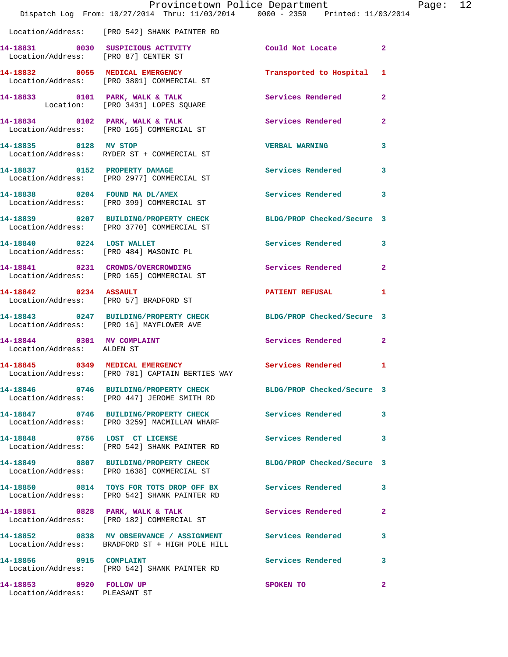|                                                          | Provincetown Police Department<br>Dispatch Log From: 10/27/2014 Thru: 11/03/2014 0000 - 2359 Printed: 11/03/2014 |                            |                |
|----------------------------------------------------------|------------------------------------------------------------------------------------------------------------------|----------------------------|----------------|
|                                                          | Location/Address: [PRO 542] SHANK PAINTER RD                                                                     |                            |                |
| Location/Address: [PRO 87] CENTER ST                     | 14-18831 0030 SUSPICIOUS ACTIVITY                                                                                | Could Not Locate           | $\mathbf{2}$   |
|                                                          | 14-18832 0055 MEDICAL EMERGENCY<br>Location/Address: [PRO 3801] COMMERCIAL ST                                    | Transported to Hospital    | 1              |
|                                                          | 14-18833 0101 PARK, WALK & TALK<br>Location: [PRO 3431] LOPES SQUARE                                             | <b>Services Rendered</b>   | $\overline{a}$ |
|                                                          | 14-18834 0102 PARK, WALK & TALK<br>Location/Address: [PRO 165] COMMERCIAL ST                                     | <b>Services Rendered</b>   | $\mathbf{2}$   |
| 14-18835 0128 MV STOP                                    | Location/Address: RYDER ST + COMMERCIAL ST                                                                       | <b>VERBAL WARNING</b>      | 3              |
|                                                          | 14-18837 0152 PROPERTY DAMAGE<br>Location/Address: [PRO 2977] COMMERCIAL ST                                      | <b>Services Rendered</b>   | 3              |
|                                                          | 14-18838 0204 FOUND MA DL/AMEX<br>Location/Address: [PRO 399] COMMERCIAL ST                                      | <b>Services Rendered</b>   | 3              |
|                                                          | 14-18839 0207 BUILDING/PROPERTY CHECK BLDG/PROP Checked/Secure 3<br>Location/Address: [PRO 3770] COMMERCIAL ST   |                            |                |
| 14-18840 0224 LOST WALLET                                | Location/Address: [PRO 484] MASONIC PL                                                                           | <b>Services Rendered</b>   | 3              |
|                                                          | 14-18841 0231 CROWDS/OVERCROWDING<br>Location/Address: [PRO 165] COMMERCIAL ST                                   | <b>Services Rendered</b>   | $\mathbf{2}$   |
| 14-18842 0234 ASSAULT                                    | Location/Address: [PRO 57] BRADFORD ST                                                                           | <b>PATIENT REFUSAL</b>     | 1              |
|                                                          | 14-18843 0247 BUILDING/PROPERTY CHECK<br>Location/Address: [PRO 16] MAYFLOWER AVE                                | BLDG/PROP Checked/Secure 3 |                |
| 14-18844 0301 MV COMPLAINT<br>Location/Address: ALDEN ST |                                                                                                                  | <b>Services Rendered</b>   | $\mathbf{2}$   |
|                                                          | 14-18845 0349 MEDICAL EMERGENCY Services Rendered<br>Location/Address: [PRO 781] CAPTAIN BERTIES WAY             |                            | 1              |
|                                                          | 14-18846 0746 BUILDING/PROPERTY CHECK BLDG/PROP Checked/Secure 3<br>Location/Address: [PRO 447] JEROME SMITH RD  |                            |                |
|                                                          | 14-18847 0746 BUILDING/PROPERTY CHECK Services Rendered<br>Location/Address: [PRO 3259] MACMILLAN WHARF          |                            | 3              |
| 14-18848 0756 LOST CT LICENSE                            | Location/Address: [PRO 542] SHANK PAINTER RD                                                                     | Services Rendered          | 3              |
|                                                          | 14-18849 0807 BUILDING/PROPERTY CHECK BLDG/PROP Checked/Secure 3<br>Location/Address: [PRO 1638] COMMERCIAL ST   |                            |                |
|                                                          | 14-18850 0814 TOYS FOR TOTS DROP OFF BX Services Rendered<br>Location/Address: [PRO 542] SHANK PAINTER RD        |                            | 3              |
|                                                          | 14-18851 0828 PARK, WALK & TALK<br>Location/Address: [PRO 182] COMMERCIAL ST                                     | <b>Services Rendered</b>   | $\mathbf{2}$   |
|                                                          | 14-18852 0838 MV OBSERVANCE / ASSIGNMENT Services Rendered<br>Location/Address: BRADFORD ST + HIGH POLE HILL     |                            | 3              |
| 14-18856 0915 COMPLAINT                                  | Location/Address: [PRO 542] SHANK PAINTER RD                                                                     | Services Rendered          | 3              |
| 14-18853 0920 FOLLOW UP<br>Location/Address: PLEASANT ST |                                                                                                                  | SPOKEN TO                  | $\mathbf{2}$   |

Page: 12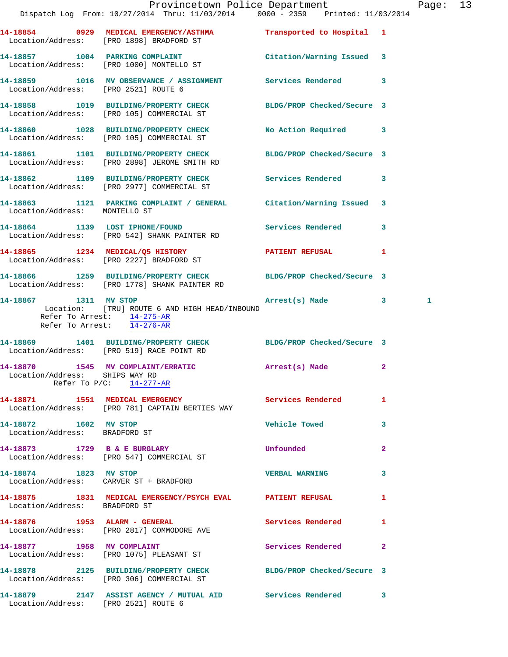|                                                        |                                                                                                                   | Provincetown Police Department          | Page: 13 |
|--------------------------------------------------------|-------------------------------------------------------------------------------------------------------------------|-----------------------------------------|----------|
|                                                        | Dispatch Log From: 10/27/2014 Thru: 11/03/2014 0000 - 2359 Printed: 11/03/2014                                    |                                         |          |
|                                                        | 14-18854 0929 MEDICAL EMERGENCY/ASTHMA Transported to Hospital 1<br>Location/Address: [PRO 1898] BRADFORD ST      |                                         |          |
|                                                        | 14-18857 1004 PARKING COMPLAINT<br>Location/Address: [PRO 1000] MONTELLO ST                                       | Citation/Warning Issued 3               |          |
| Location/Address: [PRO 2521] ROUTE 6                   | 14-18859 1016 MV OBSERVANCE / ASSIGNMENT Services Rendered 3                                                      |                                         |          |
|                                                        | 14-18858 1019 BUILDING/PROPERTY CHECK BLDG/PROP Checked/Secure 3<br>Location/Address: [PRO 105] COMMERCIAL ST     |                                         |          |
|                                                        | 14-18860 1028 BUILDING/PROPERTY CHECK<br>Location/Address: [PRO 105] COMMERCIAL ST                                | No Action Required 3                    |          |
|                                                        | 14-18861 1101 BUILDING/PROPERTY CHECK<br>Location/Address: [PRO 2898] JEROME SMITH RD                             | BLDG/PROP Checked/Secure 3              |          |
|                                                        | 14-18862 1109 BUILDING/PROPERTY CHECK Services Rendered 3<br>Location/Address: [PRO 2977] COMMERCIAL ST           |                                         |          |
| Location/Address: MONTELLO ST                          | 14-18863 1121 PARKING COMPLAINT / GENERAL Citation/Warning Issued 3                                               |                                         |          |
|                                                        | 14-18864 1139 LOST IPHONE/FOUND Services Rendered 3<br>Location/Address: [PRO 542] SHANK PAINTER RD               |                                         |          |
|                                                        | 14-18865 1234 MEDICAL/Q5 HISTORY<br>Location/Address: [PRO 2227] BRADFORD ST                                      | <b>PATIENT REFUSAL</b><br>$\mathbf{1}$  |          |
|                                                        | 14-18866 1259 BUILDING/PROPERTY CHECK BLDG/PROP Checked/Secure 3<br>Location/Address: [PRO 1778] SHANK PAINTER RD |                                         |          |
| 14-18867 1311 MV STOP<br>Refer To Arrest: 14-276-AR    | Location: [TRU] ROUTE 6 AND HIGH HEAD/INBOUND<br>Refer To Arrest: 14-275-AR                                       | Arrest(s) Made 3                        | 1        |
|                                                        | 14-18869 1401 BUILDING/PROPERTY CHECK BLDG/PROP Checked/Secure 3<br>Location/Address: [PRO 519] RACE POINT RD     |                                         |          |
| Location/Address: SHIPS WAY RD                         | 14-18870 1545 MV COMPLAINT/ERRATIC Arrest(s) Made<br>Refer To $P/C$ : $14-277-RR$                                 | $\mathbf{2}$                            |          |
|                                                        | 14-18871 1551 MEDICAL EMERGENCY 1 Services Rendered 1<br>Location/Address: [PRO 781] CAPTAIN BERTIES WAY          |                                         |          |
| 14-18872 1602 MV STOP<br>Location/Address: BRADFORD ST |                                                                                                                   | <b>Vehicle Towed Server Server</b><br>3 |          |
|                                                        | 14-18873 1729 B & E BURGLARY<br>Location/Address: [PRO 547] COMMERCIAL ST                                         | Unfounded<br>$\mathbf{2}$               |          |
| 14-18874 1823 MV STOP                                  | Location/Address: CARVER ST + BRADFORD                                                                            | <b>VERBAL WARNING</b><br>3              |          |
| Location/Address: BRADFORD ST                          | 14-18875 1831 MEDICAL EMERGENCY/PSYCH EVAL PATIENT REFUSAL                                                        | 1                                       |          |
|                                                        | 14-18876    1953    ALARM - GENERAL<br>Location/Address: [PRO 2817] COMMODORE AVE                                 | <b>Services Rendered</b><br>1           |          |
|                                                        | 14-18877 1958 MV COMPLAINT<br>Location/Address: [PRO 1075] PLEASANT ST                                            | Services Rendered<br>$\mathbf{2}$       |          |
|                                                        | 14-18878 2125 BUILDING/PROPERTY CHECK BLDG/PROP Checked/Secure 3<br>Location/Address: [PRO 306] COMMERCIAL ST     |                                         |          |
| Location/Address: [PRO 2521] ROUTE 6                   | 14-18879 2147 ASSIST AGENCY / MUTUAL AID Services Rendered 3                                                      |                                         |          |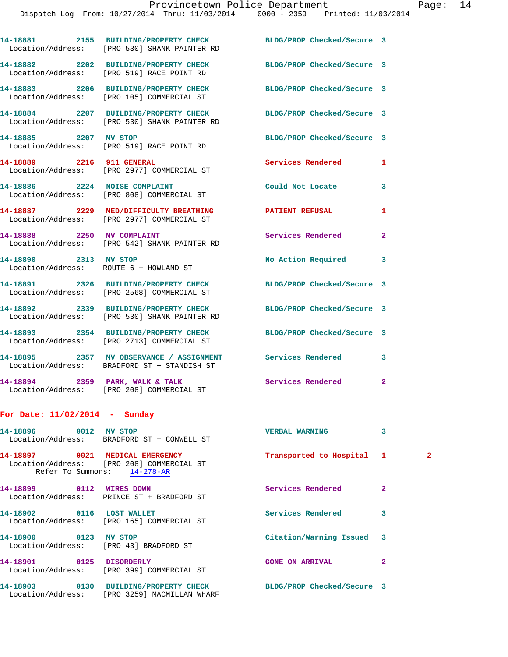|                           | 14-18881 2155 BUILDING/PROPERTY CHECK<br>Location/Address: [PRO 530] SHANK PAINTER RD   | BLDG/PROP Checked/Secure 3 |                |
|---------------------------|-----------------------------------------------------------------------------------------|----------------------------|----------------|
|                           | 14-18882 2202 BUILDING/PROPERTY CHECK<br>Location/Address: [PRO 519] RACE POINT RD      | BLDG/PROP Checked/Secure 3 |                |
|                           | 14-18883 2206 BUILDING/PROPERTY CHECK<br>Location/Address: [PRO 105] COMMERCIAL ST      | BLDG/PROP Checked/Secure 3 |                |
|                           | 14-18884 2207 BUILDING/PROPERTY CHECK<br>Location/Address: [PRO 530] SHANK PAINTER RD   | BLDG/PROP Checked/Secure 3 |                |
| 14-18885 2207 MV STOP     | Location/Address: [PRO 519] RACE POINT RD                                               | BLDG/PROP Checked/Secure 3 |                |
| 14-18889 2216 911 GENERAL | Location/Address: [PRO 2977] COMMERCIAL ST                                              | Services Rendered          | 1              |
|                           | 14-18886 2224 NOISE COMPLAINT<br>Location/Address: [PRO 808] COMMERCIAL ST              | Could Not Locate           | 3              |
|                           | 14-18887 2229 MED/DIFFICULTY BREATHING<br>Location/Address: [PRO 2977] COMMERCIAL ST    | <b>PATIENT REFUSAL</b>     | $\mathbf{1}$   |
|                           | 14-18888 2250 MV COMPLAINT<br>Location/Address: [PRO 542] SHANK PAINTER RD              | Services Rendered          | $\overline{a}$ |
| 14-18890 2313 MV STOP     | Location/Address: ROUTE 6 + HOWLAND ST                                                  | No Action Required         | 3              |
|                           | 14-18891 2326 BUILDING/PROPERTY CHECK<br>Location/Address: [PRO 2568] COMMERCIAL ST     | BLDG/PROP Checked/Secure 3 |                |
|                           | 14-18892 2339 BUILDING/PROPERTY CHECK<br>Location/Address: [PRO 530] SHANK PAINTER RD   | BLDG/PROP Checked/Secure 3 |                |
|                           | 14-18893 2354 BUILDING/PROPERTY CHECK<br>Location/Address: [PRO 2713] COMMERCIAL ST     | BLDG/PROP Checked/Secure 3 |                |
|                           | 14-18895 2357 MV OBSERVANCE / ASSIGNMENT<br>Location/Address: BRADFORD ST + STANDISH ST | <b>Services Rendered</b>   | 3              |
|                           | 14-18894 2359 PARK, WALK & TALK<br>Location/Address: [PRO 208] COMMERCIAL ST            | <b>Services Rendered</b>   | $\overline{2}$ |
|                           |                                                                                         |                            |                |

## **For Date: 11/02/2014 - Sunday**

| 14-18896 0012             | <b>MV STOP</b><br>Location/Address: BRADFORD ST + CONWELL ST             | VERBAL WARNING             | 3            |              |
|---------------------------|--------------------------------------------------------------------------|----------------------------|--------------|--------------|
|                           | Location/Address: [PRO 208] COMMERCIAL ST<br>Refer To Summons: 14-278-AR | Transported to Hospital 1  |              | $\mathbf{2}$ |
| 14-18899 0112 WIRES DOWN  | Location/Address: PRINCE ST + BRADFORD ST                                | Services Rendered          | $\mathbf{2}$ |              |
| 14-18902 0116 LOST WALLET | Location/Address: [PRO 165] COMMERCIAL ST                                | Services Rendered          | 3            |              |
| 14-18900 0123 MV STOP     | Location/Address: [PRO 43] BRADFORD ST                                   | Citation/Warning Issued 3  |              |              |
| 14-18901 0125 DISORDERLY  | Location/Address: [PRO 399] COMMERCIAL ST                                | <b>GONE ON ARRIVAL</b>     | $\mathbf{2}$ |              |
|                           | Location/Address: [PRO 3259] MACMILLAN WHARF                             | BLDG/PROP Checked/Secure 3 |              |              |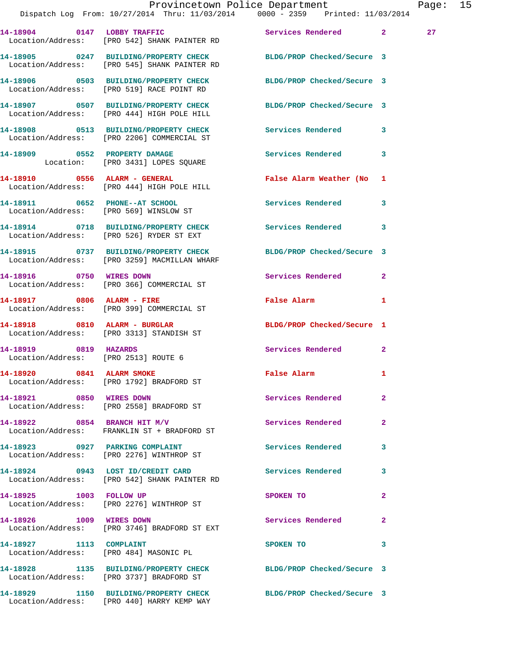|                                                               | Provincetown Police Department<br>Dispatch Log From: 10/27/2014 Thru: 11/03/2014 0000 - 2359 Printed: 11/03/2014 |                                         |              | Page: 15 |  |
|---------------------------------------------------------------|------------------------------------------------------------------------------------------------------------------|-----------------------------------------|--------------|----------|--|
|                                                               | 14-18904 0147 LOBBY TRAFFIC<br>Location/Address: [PRO 542] SHANK PAINTER RD                                      | Services Rendered 2                     |              | 27       |  |
|                                                               | 14-18905 0247 BUILDING/PROPERTY CHECK BLDG/PROP Checked/Secure 3<br>Location/Address: [PRO 545] SHANK PAINTER RD |                                         |              |          |  |
|                                                               | 14-18906 0503 BUILDING/PROPERTY CHECK BLDG/PROP Checked/Secure 3<br>Location/Address: [PRO 519] RACE POINT RD    |                                         |              |          |  |
|                                                               | 14-18907 0507 BUILDING/PROPERTY CHECK BLDG/PROP Checked/Secure 3<br>Location/Address: [PRO 444] HIGH POLE HILL   |                                         |              |          |  |
|                                                               | 14-18908 0513 BUILDING/PROPERTY CHECK Services Rendered 3<br>Location/Address: [PRO 2206] COMMERCIAL ST          |                                         |              |          |  |
|                                                               | 14-18909 0552 PROPERTY DAMAGE<br>Location: [PRO 3431] LOPES SQUARE                                               | Services Rendered 3                     |              |          |  |
|                                                               | 14-18910 0556 ALARM - GENERAL<br>Location/Address: [PRO 444] HIGH POLE HILL                                      | False Alarm Weather (No 1               |              |          |  |
|                                                               | 14-18911 0652 PHONE--AT SCHOOL<br>Location/Address: [PRO 569] WINSLOW ST                                         | Services Rendered 3                     |              |          |  |
|                                                               | 14-18914 0718 BUILDING/PROPERTY CHECK Services Rendered 3<br>Location/Address: [PRO 526] RYDER ST EXT            |                                         |              |          |  |
|                                                               | 14-18915 0737 BUILDING/PROPERTY CHECK BLDG/PROP Checked/Secure 3<br>Location/Address: [PRO 3259] MACMILLAN WHARF |                                         |              |          |  |
| 14-18916 0750 WIRES DOWN                                      | Location/Address: [PRO 366] COMMERCIAL ST                                                                        | Services Rendered 2                     |              |          |  |
|                                                               | 14-18917 0806 ALARM - FIRE<br>Location/Address: [PRO 399] COMMERCIAL ST                                          | False Alarm 1                           |              |          |  |
|                                                               | 14-18918 0810 ALARM - BURGLAR<br>Location/Address: [PRO 3313] STANDISH ST                                        | BLDG/PROP Checked/Secure 1              |              |          |  |
| 14-18919 0819 HAZARDS<br>Location/Address: [PRO 2513] ROUTE 6 |                                                                                                                  | Services Rendered 2                     |              |          |  |
|                                                               | 14-18920 0841 ALARM SMOKE<br>Location/Address: [PRO 1792] BRADFORD ST                                            | False Alarm 1                           |              |          |  |
|                                                               | 14-18921 0850 WIRES DOWN<br>Location/Address: [PRO 2558] BRADFORD ST                                             | Services Rendered                       | $\mathbf{2}$ |          |  |
|                                                               | 14-18922 0854 BRANCH HIT M/V<br>Location/Address: FRANKLIN ST + BRADFORD ST                                      | <b>Services Rendered</b>                | $\mathbf{2}$ |          |  |
|                                                               | 14-18923 0927 PARKING COMPLAINT<br>Location/Address: [PRO 2276] WINTHROP ST                                      | Services Rendered                       | 3            |          |  |
|                                                               | 14-18924 0943 LOST ID/CREDIT CARD Services Rendered 3<br>Location/Address: [PRO 542] SHANK PAINTER RD            |                                         |              |          |  |
|                                                               | 14-18925 1003 FOLLOW UP<br>Location/Address: [PRO 2276] WINTHROP ST                                              | SPOKEN TO DESCRIPTION OF REAL PROPERTY. | $\mathbf{2}$ |          |  |
| 14-18926 1009 WIRES DOWN                                      | Location/Address: [PRO 3746] BRADFORD ST EXT                                                                     | Services Rendered                       | $\mathbf{2}$ |          |  |
|                                                               | 14-18927 1113 COMPLAINT<br>Location/Address: [PRO 484] MASONIC PL                                                | SPOKEN TO                               | 3            |          |  |
|                                                               | 14-18928 1135 BUILDING/PROPERTY CHECK BLDG/PROP Checked/Secure 3<br>Location/Address: [PRO 3737] BRADFORD ST     |                                         |              |          |  |
|                                                               | 14-18929 1150 BUILDING/PROPERTY CHECK BLDG/PROP Checked/Secure 3<br>Location/Address: [PRO 440] HARRY KEMP WAY   |                                         |              |          |  |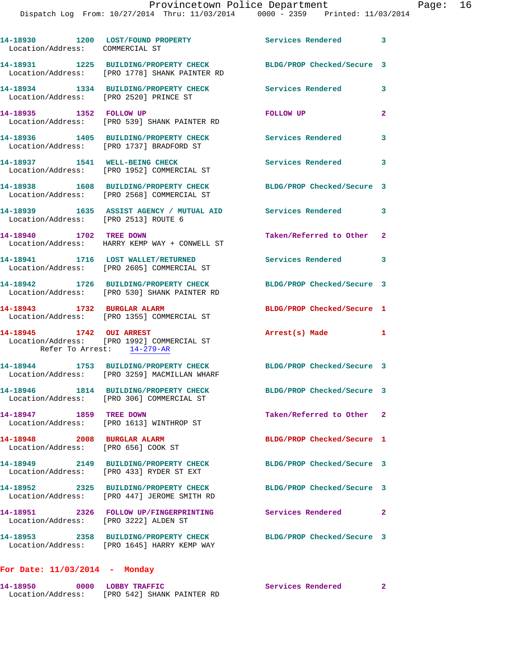Dispatch Log From: 10/27/2014 Thru: 11/03/2014 0000 - 2359 Printed: 11/03/2014

| 14-18930 1200 LOST/FOUND PROPERTY<br>Location/Address: COMMERCIAL ST                                 | Services Rendered 3        |                                                                                                                                                                                                             |
|------------------------------------------------------------------------------------------------------|----------------------------|-------------------------------------------------------------------------------------------------------------------------------------------------------------------------------------------------------------|
| Location/Address: [PRO 1778] SHANK PAINTER RD                                                        | BLDG/PROP Checked/Secure 3 |                                                                                                                                                                                                             |
| Location/Address: [PRO 2520] PRINCE ST                                                               | Services Rendered          | 3                                                                                                                                                                                                           |
| 14-18935 1352 FOLLOW UP<br>Location/Address: [PRO 539] SHANK PAINTER RD                              | FOLLOW UP                  | $\overline{2}$                                                                                                                                                                                              |
| 14-18936 1405 BUILDING/PROPERTY CHECK<br>Location/Address: [PRO 1737] BRADFORD ST                    | <b>Services Rendered</b>   | 3                                                                                                                                                                                                           |
| 14-18937 1541 WELL-BEING CHECK<br>Location/Address: [PRO 1952] COMMERCIAL ST                         | Services Rendered          | 3                                                                                                                                                                                                           |
| 14-18938 1608 BUILDING/PROPERTY CHECK<br>Location/Address: [PRO 2568] COMMERCIAL ST                  | BLDG/PROP Checked/Secure 3 |                                                                                                                                                                                                             |
|                                                                                                      | Services Rendered          | 3                                                                                                                                                                                                           |
| 14-18940 1702 TREE DOWN<br>Location/Address: HARRY KEMP WAY + CONWELL ST                             | Taken/Referred to Other 2  |                                                                                                                                                                                                             |
| 14-18941 1716 LOST WALLET/RETURNED<br>Location/Address: [PRO 2605] COMMERCIAL ST                     | Services Rendered          | 3                                                                                                                                                                                                           |
| 14-18942 1726 BUILDING/PROPERTY CHECK<br>Location/Address: [PRO 530] SHANK PAINTER RD                | BLDG/PROP Checked/Secure 3 |                                                                                                                                                                                                             |
| 14-18943 1732 BURGLAR ALARM<br>Location/Address: [PRO 1355] COMMERCIAL ST                            | BLDG/PROP Checked/Secure 1 |                                                                                                                                                                                                             |
| 14-18945 1742 OUI ARREST<br>Location/Address: [PRO 1992] COMMERCIAL ST<br>Refer To Arrest: 14-279-AR | Arrest(s) Made 1           |                                                                                                                                                                                                             |
| 14-18944 1753 BUILDING/PROPERTY CHECK<br>Location/Address: [PRO 3259] MACMILLAN WHARF                | BLDG/PROP Checked/Secure 3 |                                                                                                                                                                                                             |
| Location/Address: [PRO 306] COMMERCIAL ST                                                            | BLDG/PROP Checked/Secure 3 |                                                                                                                                                                                                             |
|                                                                                                      |                            |                                                                                                                                                                                                             |
| 14-18947 1859 TREE DOWN<br>Location/Address: [PRO 1613] WINTHROP ST                                  | Taken/Referred to Other 2  |                                                                                                                                                                                                             |
| 14-18948 2008 BURGLAR ALARM<br>Location/Address: [PRO 656] COOK ST                                   | BLDG/PROP Checked/Secure 1 |                                                                                                                                                                                                             |
| 14-18949 2149 BUILDING/PROPERTY CHECK<br>Location/Address: [PRO 433] RYDER ST EXT                    | BLDG/PROP Checked/Secure 3 |                                                                                                                                                                                                             |
| 14-18952 2325 BUILDING/PROPERTY CHECK<br>Location/Address: [PRO 447] JEROME SMITH RD                 | BLDG/PROP Checked/Secure 3 |                                                                                                                                                                                                             |
| 14-18951 2326 FOLLOW UP/FINGERPRINTING<br>Location/Address: [PRO 3222] ALDEN ST                      | <b>Services Rendered</b>   | $\mathbf{2}$                                                                                                                                                                                                |
|                                                                                                      |                            | 14-18931 1225 BUILDING/PROPERTY CHECK<br>14-18934 1334 BUILDING/PROPERTY CHECK<br>14-18939 1635 ASSIST AGENCY / MUTUAL AID<br>Location/Address: [PRO 2513] ROUTE 6<br>14-18946 1814 BUILDING/PROPERTY CHECK |

## **14-18950 0000 LOBBY TRAFFIC Services Rendered 2**  Location/Address: [PRO 542] SHANK PAINTER RD